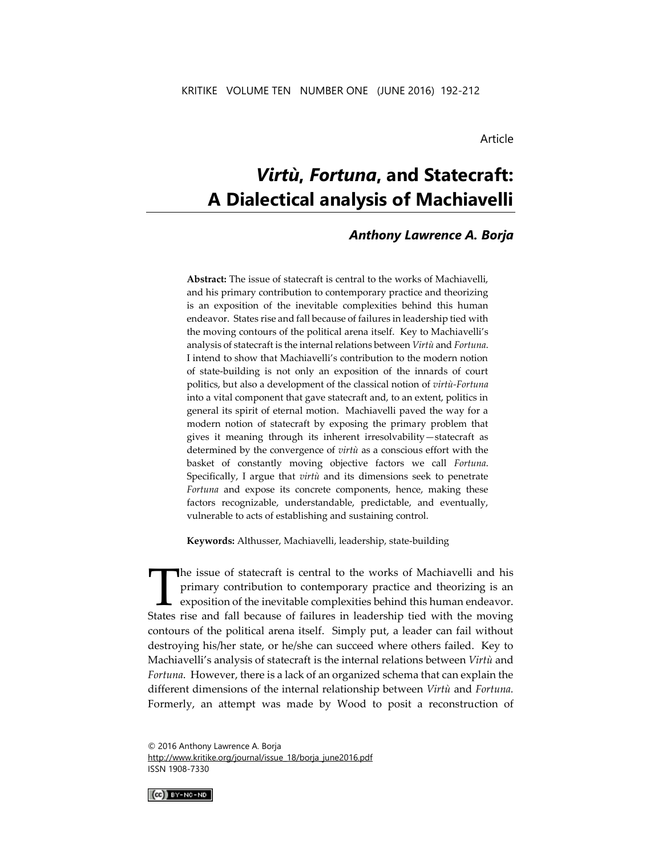Article

# *Virtù***,** *Fortuna***, and Statecraft: A Dialectical analysis of Machiavelli**

# *Anthony Lawrence A. Borja*

**Abstract:** The issue of statecraft is central to the works of Machiavelli, and his primary contribution to contemporary practice and theorizing is an exposition of the inevitable complexities behind this human endeavor. States rise and fall because of failures in leadership tied with the moving contours of the political arena itself. Key to Machiavelli's analysis of statecraft is the internal relations between *Virtù* and *Fortuna*. I intend to show that Machiavelli's contribution to the modern notion of state-building is not only an exposition of the innards of court politics, but also a development of the classical notion of *virtù-Fortuna* into a vital component that gave statecraft and, to an extent, politics in general its spirit of eternal motion. Machiavelli paved the way for a modern notion of statecraft by exposing the primary problem that gives it meaning through its inherent irresolvability—statecraft as determined by the convergence of *virtù* as a conscious effort with the basket of constantly moving objective factors we call *Fortuna*. Specifically, I argue that *virtù* and its dimensions seek to penetrate *Fortuna* and expose its concrete components, hence, making these factors recognizable, understandable, predictable, and eventually, vulnerable to acts of establishing and sustaining control.

**Keywords:** Althusser, Machiavelli, leadership, state-building

he issue of statecraft is central to the works of Machiavelli and his primary contribution to contemporary practice and theorizing is an exposition of the inevitable complexities behind this human endeavor. The issue of statecraft is central to the works of Machiavelli and his primary contribution to contemporary practice and theorizing is an exposition of the inevitable complexities behind this human endeavor.<br>States rise an contours of the political arena itself. Simply put, a leader can fail without destroying his/her state, or he/she can succeed where others failed. Key to Machiavelli's analysis of statecraft is the internal relations between *Virtù* and *Fortuna*. However, there is a lack of an organized schema that can explain the different dimensions of the internal relationship between *Virtù* and *Fortuna.*  Formerly, an attempt was made by Wood to posit a reconstruction of

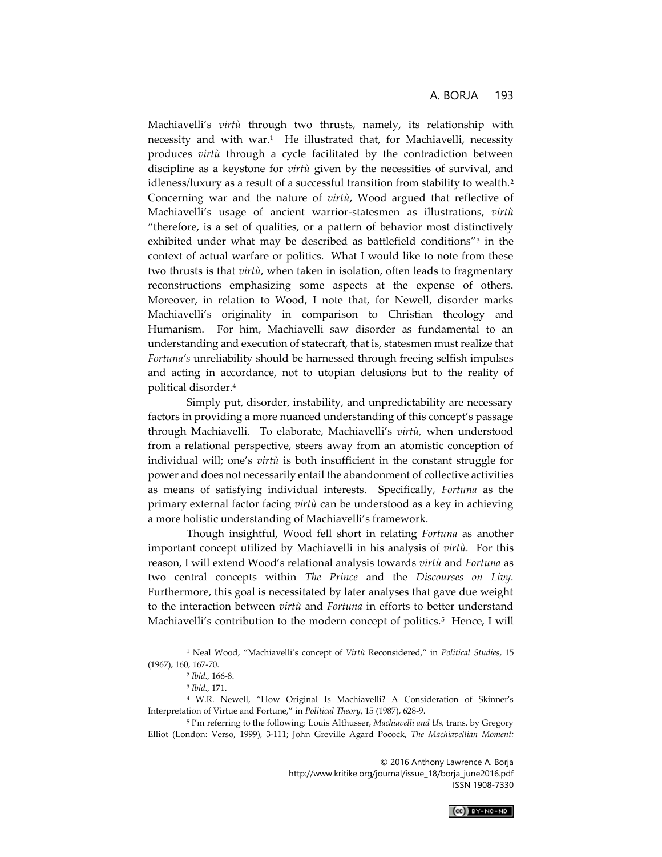Machiavelli's *virtù* through two thrusts, namely, its relationship with necessity and with war.<sup>1</sup> He illustrated that, for Machiavelli, necessity produces *virtù* through a cycle facilitated by the contradiction between discipline as a keystone for *virtù* given by the necessities of survival, and idleness/luxury as a result of a successful transition from stability to wealth.<sup>2</sup> Concerning war and the nature of *virtù*, Wood argued that reflective of Machiavelli's usage of ancient warrior-statesmen as illustrations, *virtù*  "therefore, is a set of qualities, or a pattern of behavior most distinctively exhibited under what may be described as battlefield conditions"<sup>3</sup> in the context of actual warfare or politics. What I would like to note from these two thrusts is that *virtù*, when taken in isolation, often leads to fragmentary reconstructions emphasizing some aspects at the expense of others. Moreover, in relation to Wood, I note that, for Newell, disorder marks Machiavelli's originality in comparison to Christian theology and Humanism. For him, Machiavelli saw disorder as fundamental to an understanding and execution of statecraft, that is, statesmen must realize that *Fortuna's* unreliability should be harnessed through freeing selfish impulses and acting in accordance, not to utopian delusions but to the reality of political disorder.<sup>4</sup>

Simply put, disorder, instability, and unpredictability are necessary factors in providing a more nuanced understanding of this concept's passage through Machiavelli. To elaborate, Machiavelli's *virtù,* when understood from a relational perspective, steers away from an atomistic conception of individual will; one's *virtù* is both insufficient in the constant struggle for power and does not necessarily entail the abandonment of collective activities as means of satisfying individual interests. Specifically, *Fortuna* as the primary external factor facing *virtù* can be understood as a key in achieving a more holistic understanding of Machiavelli's framework.

Though insightful, Wood fell short in relating *Fortuna* as another important concept utilized by Machiavelli in his analysis of *virtù.* For this reason, I will extend Wood's relational analysis towards *virtù* and *Fortuna* as two central concepts within *The Prince* and the *Discourses on Livy.*  Furthermore, this goal is necessitated by later analyses that gave due weight to the interaction between *virtù* and *Fortuna* in efforts to better understand Machiavelli's contribution to the modern concept of politics.<sup>5</sup> Hence, I will

 $\overline{a}$ 

© 2016 Anthony Lawrence A. Borja [http://www.kritike.org/journal/issue\\_18/borja\\_june2016.pdf](http://www.kritike.org/journal/issue_18/borja_june2016.pdf)

ISSN 1908-7330

<sup>1</sup> Neal Wood, "Machiavelli's concept of *Virtù* Reconsidered," in *Political Studies*, 15 (1967), 160, 167-70.

<sup>2</sup> *Ibid.,* 166-8.

<sup>3</sup> *Ibid.,* 171.

<sup>4</sup> W.R. Newell, "How Original Is Machiavelli? A Consideration of Skinner's Interpretation of Virtue and Fortune," in *Political Theory*, 15 (1987), 628-9.

<sup>5</sup> I'm referring to the following: Louis Althusser, *Machiavelli and Us,* trans. by Gregory Elliot (London: Verso, 1999), 3-111; John Greville Agard Pocock, *The Machiavellian Moment:*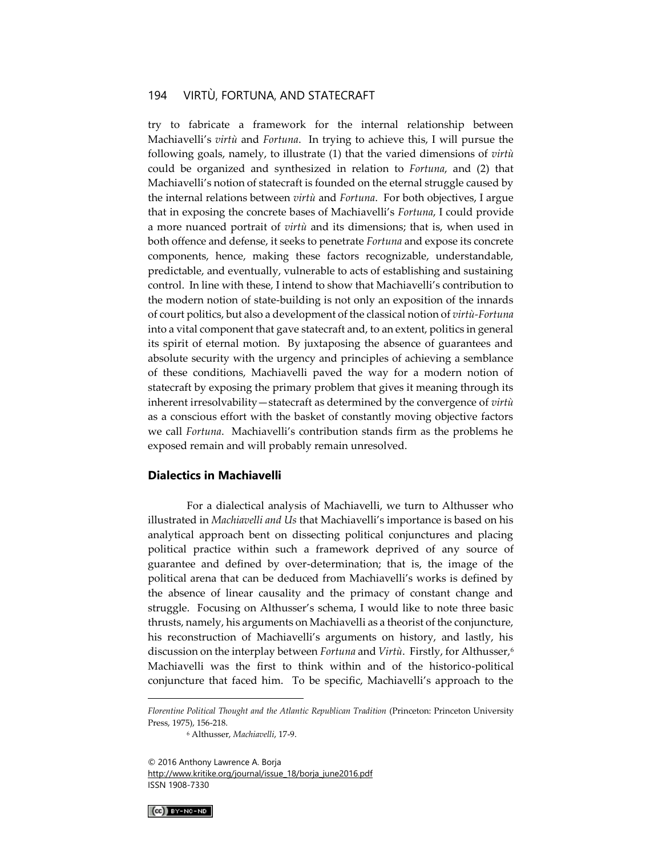try to fabricate a framework for the internal relationship between Machiavelli's *virtù* and *Fortuna*. In trying to achieve this, I will pursue the following goals, namely, to illustrate (1) that the varied dimensions of *virtù*  could be organized and synthesized in relation to *Fortuna*, and (2) that Machiavelli's notion of statecraft is founded on the eternal struggle caused by the internal relations between *virtù* and *Fortuna*. For both objectives, I argue that in exposing the concrete bases of Machiavelli's *Fortuna*, I could provide a more nuanced portrait of *virtù* and its dimensions; that is, when used in both offence and defense, it seeks to penetrate *Fortuna* and expose its concrete components, hence, making these factors recognizable, understandable, predictable, and eventually, vulnerable to acts of establishing and sustaining control. In line with these, I intend to show that Machiavelli's contribution to the modern notion of state-building is not only an exposition of the innards of court politics, but also a development of the classical notion of *virtù-Fortuna* into a vital component that gave statecraft and, to an extent, politics in general its spirit of eternal motion. By juxtaposing the absence of guarantees and absolute security with the urgency and principles of achieving a semblance of these conditions, Machiavelli paved the way for a modern notion of statecraft by exposing the primary problem that gives it meaning through its inherent irresolvability—statecraft as determined by the convergence of *virtù*  as a conscious effort with the basket of constantly moving objective factors we call *Fortuna*. Machiavelli's contribution stands firm as the problems he exposed remain and will probably remain unresolved.

#### **Dialectics in Machiavelli**

For a dialectical analysis of Machiavelli, we turn to Althusser who illustrated in *Machiavelli and Us* that Machiavelli's importance is based on his analytical approach bent on dissecting political conjunctures and placing political practice within such a framework deprived of any source of guarantee and defined by over-determination; that is, the image of the political arena that can be deduced from Machiavelli's works is defined by the absence of linear causality and the primacy of constant change and struggle. Focusing on Althusser's schema, I would like to note three basic thrusts, namely, his arguments on Machiavelli as a theorist of the conjuncture, his reconstruction of Machiavelli's arguments on history, and lastly, his discussion on the interplay between *Fortuna* and *Virtù*. Firstly, for Althusser,<sup>6</sup> Machiavelli was the first to think within and of the historico-political conjuncture that faced him. To be specific, Machiavelli's approach to the

 $(G)$  BY-NC-ND

*Florentine Political Thought and the Atlantic Republican Tradition* (Princeton: Princeton University Press, 1975), 156-218.

<sup>6</sup> Althusser, *Machiavelli*, 17-9.

<sup>© 2016</sup> Anthony Lawrence A. Borja [http://www.kritike.org/journal/issue\\_18/borja\\_june2016.pdf](http://www.kritike.org/journal/issue_18/borja_june2016.pdf) ISSN 1908-7330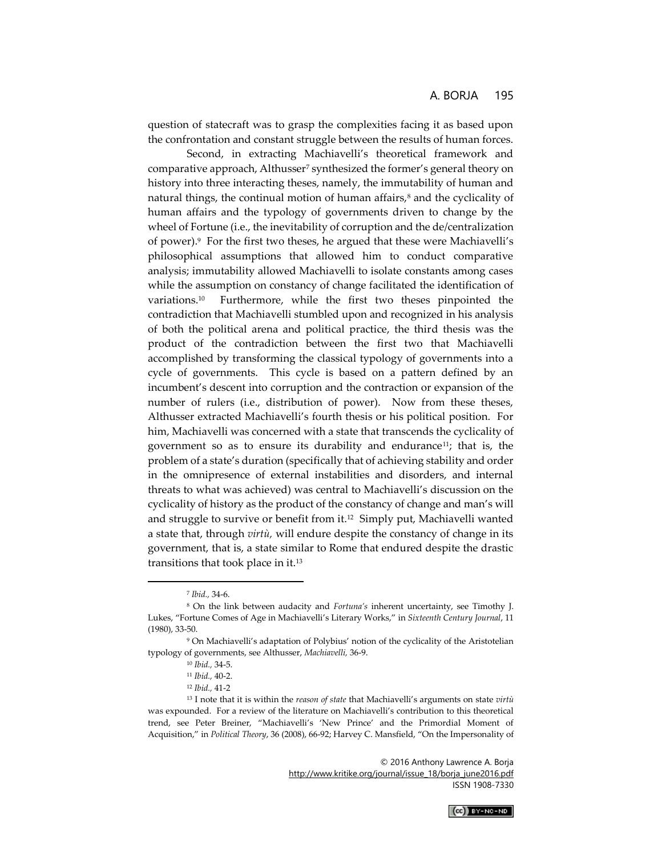question of statecraft was to grasp the complexities facing it as based upon the confrontation and constant struggle between the results of human forces.

Second, in extracting Machiavelli's theoretical framework and comparative approach, Althusser<sup>7</sup> synthesized the former's general theory on history into three interacting theses, namely, the immutability of human and natural things, the continual motion of human affairs, $\delta$  and the cyclicality of human affairs and the typology of governments driven to change by the wheel of Fortune (i.e., the inevitability of corruption and the de/centralization of power).<sup>9</sup> For the first two theses, he argued that these were Machiavelli's philosophical assumptions that allowed him to conduct comparative analysis; immutability allowed Machiavelli to isolate constants among cases while the assumption on constancy of change facilitated the identification of variations.<sup>10</sup> Furthermore, while the first two theses pinpointed the contradiction that Machiavelli stumbled upon and recognized in his analysis of both the political arena and political practice, the third thesis was the product of the contradiction between the first two that Machiavelli accomplished by transforming the classical typology of governments into a cycle of governments. This cycle is based on a pattern defined by an incumbent's descent into corruption and the contraction or expansion of the number of rulers (i.e., distribution of power). Now from these theses, Althusser extracted Machiavelli's fourth thesis or his political position. For him, Machiavelli was concerned with a state that transcends the cyclicality of government so as to ensure its durability and endurance<sup>11</sup>; that is, the problem of a state's duration (specifically that of achieving stability and order in the omnipresence of external instabilities and disorders, and internal threats to what was achieved) was central to Machiavelli's discussion on the cyclicality of history as the product of the constancy of change and man's will and struggle to survive or benefit from it.<sup>12</sup> Simply put, Machiavelli wanted a state that, through *virtù,* will endure despite the constancy of change in its government, that is, a state similar to Rome that endured despite the drastic transitions that took place in it.<sup>13</sup>

 $\overline{a}$ 



<sup>7</sup> *Ibid.,* 34-6.

<sup>8</sup> On the link between audacity and *Fortuna's* inherent uncertainty, see Timothy J. Lukes, "Fortune Comes of Age in Machiavelli's Literary Works," in *Sixteenth Century Journal*, 11 (1980), 33-50.

<sup>9</sup> On Machiavelli's adaptation of Polybius' notion of the cyclicality of the Aristotelian typology of governments, see Althusser, *Machiavelli,* 36-9.

<sup>10</sup> *Ibid.,* 34-5.

<sup>11</sup> *Ibid.,* 40-2.

<sup>12</sup> *Ibid.,* 41-2

<sup>13</sup> I note that it is within the *reason of state* that Machiavelli's arguments on state *virtù*  was expounded. For a review of the literature on Machiavelli's contribution to this theoretical trend, see Peter Breiner, "Machiavelli's 'New Prince' and the Primordial Moment of Acquisition," in *Political Theory*, 36 (2008), 66-92; Harvey C. Mansfield, "On the Impersonality of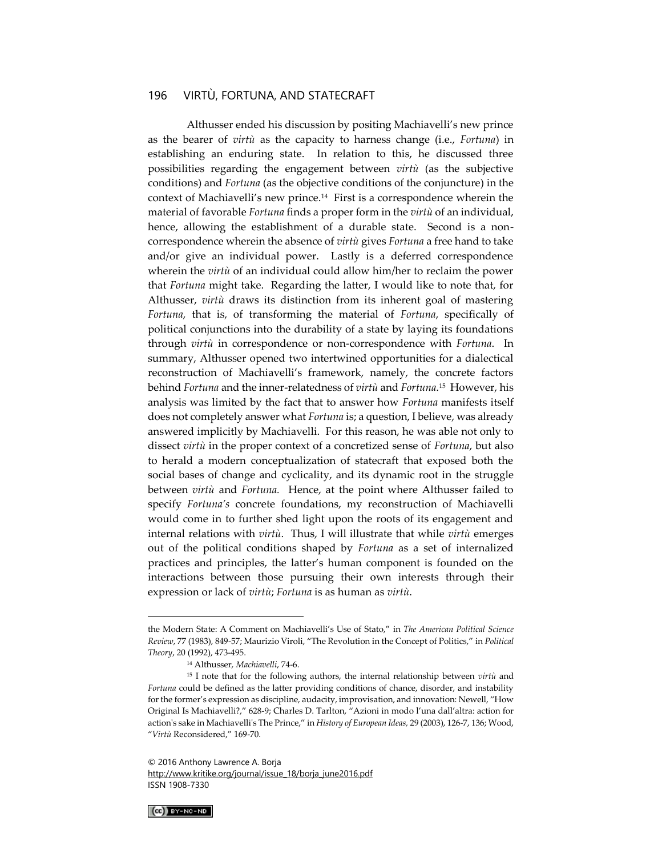Althusser ended his discussion by positing Machiavelli's new prince as the bearer of *virtù* as the capacity to harness change (i.e., *Fortuna*) in establishing an enduring state. In relation to this, he discussed three possibilities regarding the engagement between *virtù* (as the subjective conditions) and *Fortuna* (as the objective conditions of the conjuncture) in the context of Machiavelli's new prince.<sup>14</sup> First is a correspondence wherein the material of favorable *Fortuna* finds a proper form in the *virtù* of an individual, hence, allowing the establishment of a durable state. Second is a noncorrespondence wherein the absence of *virtù* gives *Fortuna* a free hand to take and/or give an individual power. Lastly is a deferred correspondence wherein the *virtù* of an individual could allow him/her to reclaim the power that *Fortuna* might take. Regarding the latter, I would like to note that, for Althusser, *virtù* draws its distinction from its inherent goal of mastering *Fortuna*, that is, of transforming the material of *Fortuna*, specifically of political conjunctions into the durability of a state by laying its foundations through *virtù* in correspondence or non-correspondence with *Fortuna*. In summary, Althusser opened two intertwined opportunities for a dialectical reconstruction of Machiavelli's framework, namely, the concrete factors behind *Fortuna* and the inner-relatedness of *virtù* and *Fortuna*. 15 However, his analysis was limited by the fact that to answer how *Fortuna* manifests itself does not completely answer what *Fortuna* is; a question, I believe, was already answered implicitly by Machiavelli. For this reason, he was able not only to dissect *virtù* in the proper context of a concretized sense of *Fortuna*, but also to herald a modern conceptualization of statecraft that exposed both the social bases of change and cyclicality, and its dynamic root in the struggle between *virtù* and *Fortuna.* Hence, at the point where Althusser failed to specify *Fortuna's* concrete foundations, my reconstruction of Machiavelli would come in to further shed light upon the roots of its engagement and internal relations with *virtù*. Thus, I will illustrate that while *virtù* emerges out of the political conditions shaped by *Fortuna* as a set of internalized practices and principles, the latter's human component is founded on the interactions between those pursuing their own interests through their expression or lack of *virtù*; *Fortuna* is as human as *virtù*.

<sup>© 2016</sup> Anthony Lawrence A. Borja [http://www.kritike.org/journal/issue\\_18/borja\\_june2016.pdf](http://www.kritike.org/journal/issue_18/borja_june2016.pdf) ISSN 1908-7330



the Modern State: A Comment on Machiavelli's Use of Stato," in *The American Political Science Review*, 77 (1983), 849-57; Maurizio Viroli, "The Revolution in the Concept of Politics," in *Political Theory*, 20 (1992), 473-495.

<sup>14</sup> Althusser, *Machiavelli*, 74-6.

<sup>15</sup> I note that for the following authors, the internal relationship between *virtù* and *Fortuna* could be defined as the latter providing conditions of chance, disorder, and instability for the former's expression as discipline, audacity, improvisation, and innovation: Newell, "How Original Is Machiavelli?," 628-9; Charles D. Tarlton, "Azioni in modo l'una dall'altra: action for action's sake in Machiavelli's The Prince," in *History of European Ideas,* 29 (2003), 126-7, 136; Wood, "*Virtù* Reconsidered," 169-70.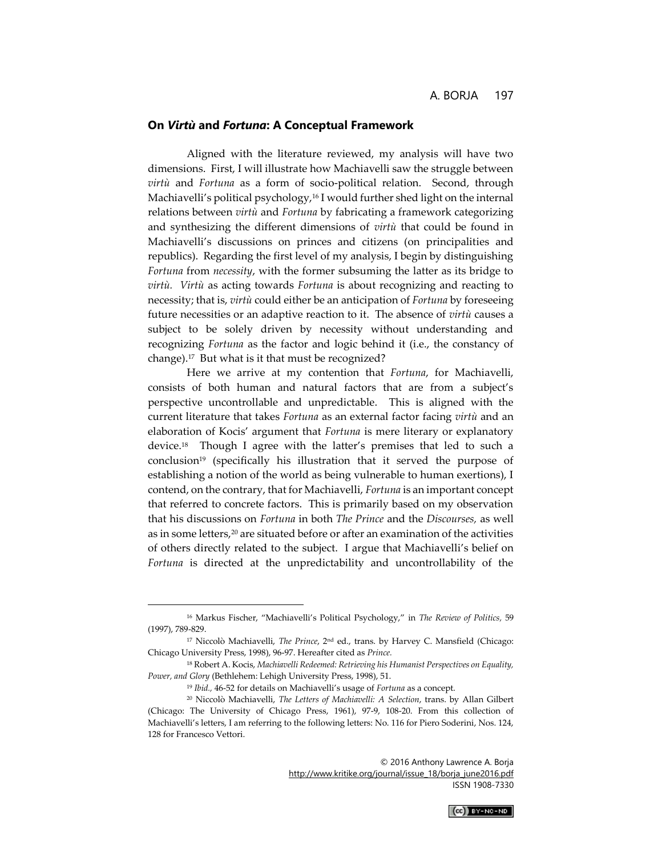#### **On** *Virtù* **and** *Fortuna***: A Conceptual Framework**

Aligned with the literature reviewed, my analysis will have two dimensions. First, I will illustrate how Machiavelli saw the struggle between *virtù* and *Fortuna* as a form of socio-political relation. Second, through Machiavelli's political psychology,<sup>16</sup> I would further shed light on the internal relations between *virtù* and *Fortuna* by fabricating a framework categorizing and synthesizing the different dimensions of *virtù* that could be found in Machiavelli's discussions on princes and citizens (on principalities and republics). Regarding the first level of my analysis, I begin by distinguishing *Fortuna* from *necessity*, with the former subsuming the latter as its bridge to *virtù. Virtù* as acting towards *Fortuna* is about recognizing and reacting to necessity; that is, *virtù* could either be an anticipation of *Fortuna* by foreseeing future necessities or an adaptive reaction to it. The absence of *virtù* causes a subject to be solely driven by necessity without understanding and recognizing *Fortuna* as the factor and logic behind it (i.e., the constancy of change).<sup>17</sup> But what is it that must be recognized?

Here we arrive at my contention that *Fortuna*, for Machiavelli, consists of both human and natural factors that are from a subject's perspective uncontrollable and unpredictable. This is aligned with the current literature that takes *Fortuna* as an external factor facing *virtù* and an elaboration of Kocis' argument that *Fortuna* is mere literary or explanatory device.<sup>18</sup> Though I agree with the latter's premises that led to such a conclusion<sup>19</sup> (specifically his illustration that it served the purpose of establishing a notion of the world as being vulnerable to human exertions), I contend, on the contrary, that for Machiavelli, *Fortuna* is an important concept that referred to concrete factors. This is primarily based on my observation that his discussions on *Fortuna* in both *The Prince* and the *Discourses,* as well as in some letters,<sup>20</sup> are situated before or after an examination of the activities of others directly related to the subject. I argue that Machiavelli's belief on *Fortuna* is directed at the unpredictability and uncontrollability of the

 $\overline{a}$ 



<sup>16</sup> Markus Fischer, "Machiavelli's Political Psychology," in *The Review of Politics,* 59 (1997), 789-829.

<sup>17</sup> Niccolò Machiavelli, *The Prince*, 2nd ed., trans. by Harvey C. Mansfield (Chicago: Chicago University Press, 1998), 96-97. Hereafter cited as *Prince.*

<sup>18</sup> Robert A. Kocis, *Machiavelli Redeemed: Retrieving his Humanist Perspectives on Equality, Power, and Glory* (Bethlehem: Lehigh University Press, 1998), 51.

<sup>19</sup> *Ibid.,* 46-52 for details on Machiavelli's usage of *Fortuna* as a concept.

<sup>20</sup> Niccolò Machiavelli, *The Letters of Machiavelli: A Selection*, trans. by Allan Gilbert (Chicago: The University of Chicago Press, 1961), 97-9, 108-20. From this collection of Machiavelli's letters, I am referring to the following letters: No. 116 for Piero Soderini, Nos. 124, 128 for Francesco Vettori.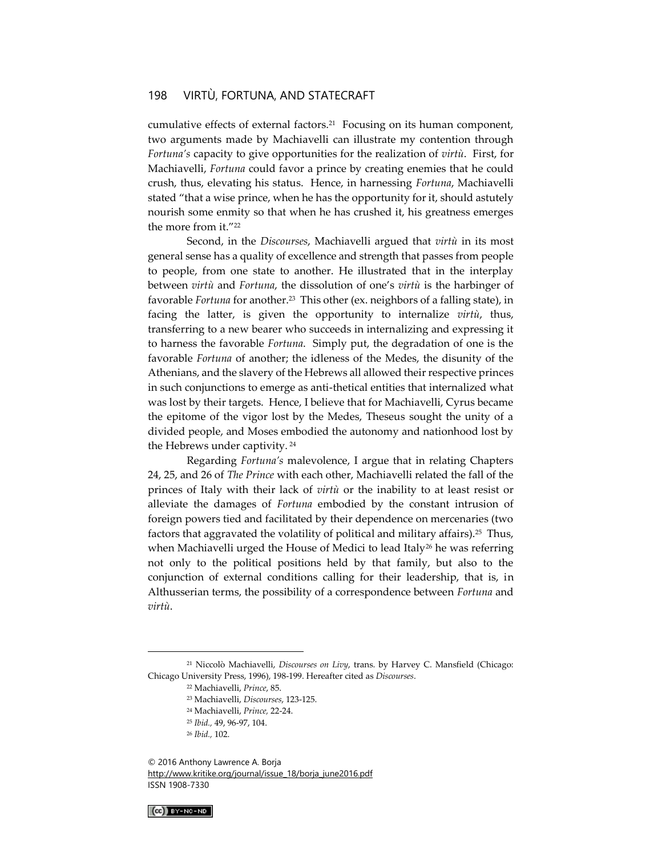cumulative effects of external factors.<sup>21</sup> Focusing on its human component, two arguments made by Machiavelli can illustrate my contention through *Fortuna's* capacity to give opportunities for the realization of *virtù*. First, for Machiavelli, *Fortuna* could favor a prince by creating enemies that he could crush, thus, elevating his status. Hence, in harnessing *Fortuna*, Machiavelli stated "that a wise prince, when he has the opportunity for it, should astutely nourish some enmity so that when he has crushed it, his greatness emerges the more from it."<sup>22</sup>

Second, in the *Discourses*, Machiavelli argued that *virtù* in its most general sense has a quality of excellence and strength that passes from people to people, from one state to another. He illustrated that in the interplay between *virtù* and *Fortuna*, the dissolution of one's *virtù* is the harbinger of favorable *Fortuna* for another.<sup>23</sup> This other (ex. neighbors of a falling state), in facing the latter, is given the opportunity to internalize *virtù*, thus, transferring to a new bearer who succeeds in internalizing and expressing it to harness the favorable *Fortuna*. Simply put, the degradation of one is the favorable *Fortuna* of another; the idleness of the Medes, the disunity of the Athenians, and the slavery of the Hebrews all allowed their respective princes in such conjunctions to emerge as anti-thetical entities that internalized what was lost by their targets. Hence, I believe that for Machiavelli, Cyrus became the epitome of the vigor lost by the Medes, Theseus sought the unity of a divided people, and Moses embodied the autonomy and nationhood lost by the Hebrews under captivity. <sup>24</sup>

Regarding *Fortuna's* malevolence, I argue that in relating Chapters 24, 25, and 26 of *The Prince* with each other, Machiavelli related the fall of the princes of Italy with their lack of *virtù* or the inability to at least resist or alleviate the damages of *Fortuna* embodied by the constant intrusion of foreign powers tied and facilitated by their dependence on mercenaries (two factors that aggravated the volatility of political and military affairs).<sup>25</sup> Thus, when Machiavelli urged the House of Medici to lead Italy<sup>26</sup> he was referring not only to the political positions held by that family, but also to the conjunction of external conditions calling for their leadership, that is, in Althusserian terms, the possibility of a correspondence between *Fortuna* and *virtù*.

<sup>© 2016</sup> Anthony Lawrence A. Borja [http://www.kritike.org/journal/issue\\_18/borja\\_june2016.pdf](http://www.kritike.org/journal/issue_18/borja_june2016.pdf) ISSN 1908-7330



<sup>21</sup> Niccolò Machiavelli, *Discourses on Livy*, trans. by Harvey C. Mansfield (Chicago: Chicago University Press, 1996), 198-199. Hereafter cited as *Discourses*.

<sup>22</sup> Machiavelli, *Prince*, 85.

<sup>23</sup> Machiavelli, *Discourses*, 123-125.

<sup>24</sup> Machiavelli, *Prince,* 22-24.

<sup>25</sup> *Ibid.,* 49, 96-97, 104.

<sup>26</sup> *Ibid.,* 102.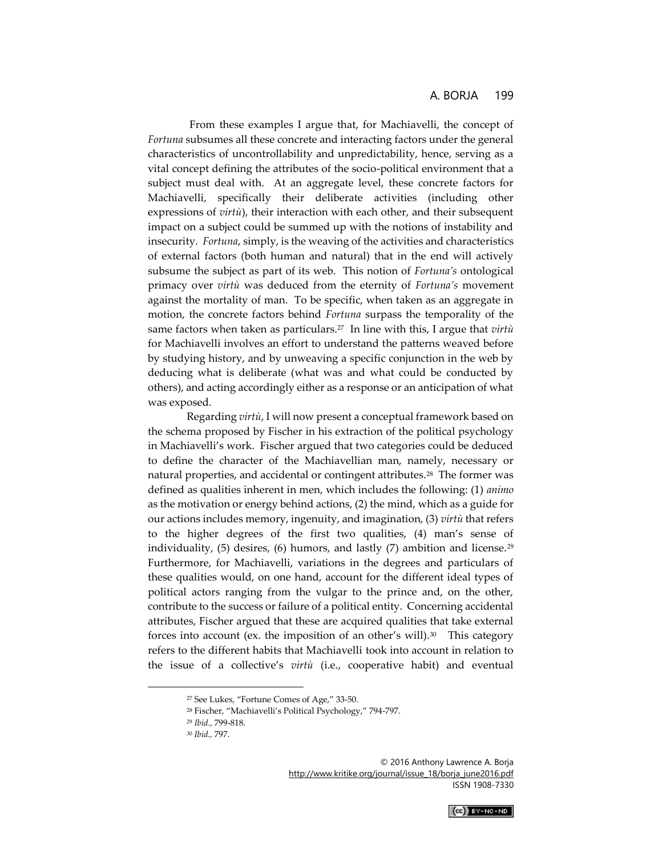From these examples I argue that, for Machiavelli, the concept of *Fortuna* subsumes all these concrete and interacting factors under the general characteristics of uncontrollability and unpredictability, hence, serving as a vital concept defining the attributes of the socio-political environment that a subject must deal with. At an aggregate level, these concrete factors for Machiavelli, specifically their deliberate activities (including other expressions of *virtù*), their interaction with each other, and their subsequent impact on a subject could be summed up with the notions of instability and insecurity. *Fortuna*, simply, is the weaving of the activities and characteristics of external factors (both human and natural) that in the end will actively subsume the subject as part of its web. This notion of *Fortuna's* ontological primacy over *virtù* was deduced from the eternity of *Fortuna's* movement against the mortality of man. To be specific, when taken as an aggregate in motion, the concrete factors behind *Fortuna* surpass the temporality of the same factors when taken as particulars.<sup>27</sup> In line with this, I argue that *virtù* for Machiavelli involves an effort to understand the patterns weaved before by studying history, and by unweaving a specific conjunction in the web by deducing what is deliberate (what was and what could be conducted by others), and acting accordingly either as a response or an anticipation of what was exposed.

Regarding *virtù*, I will now present a conceptual framework based on the schema proposed by Fischer in his extraction of the political psychology in Machiavelli's work. Fischer argued that two categories could be deduced to define the character of the Machiavellian man, namely, necessary or natural properties, and accidental or contingent attributes.<sup>28</sup> The former was defined as qualities inherent in men, which includes the following: (1) *animo*  as the motivation or energy behind actions, (2) the mind, which as a guide for our actions includes memory, ingenuity, and imagination, (3) *virtù* that refers to the higher degrees of the first two qualities, (4) man's sense of individuality,  $(5)$  desires,  $(6)$  humors, and lastly  $(7)$  ambition and license.<sup>29</sup> Furthermore, for Machiavelli, variations in the degrees and particulars of these qualities would, on one hand, account for the different ideal types of political actors ranging from the vulgar to the prince and, on the other, contribute to the success or failure of a political entity. Concerning accidental attributes, Fischer argued that these are acquired qualities that take external forces into account (ex. the imposition of an other's will).<sup>30</sup> This category refers to the different habits that Machiavelli took into account in relation to the issue of a collective's *virtù* (i.e., cooperative habit) and eventual

 $\overline{a}$ 



<sup>27</sup> See Lukes, "Fortune Comes of Age," 33-50.

<sup>28</sup> Fischer, "Machiavelli's Political Psychology," 794-797.

<sup>29</sup> *Ibid.,* 799-818.

<sup>30</sup> *Ibid.,* 797.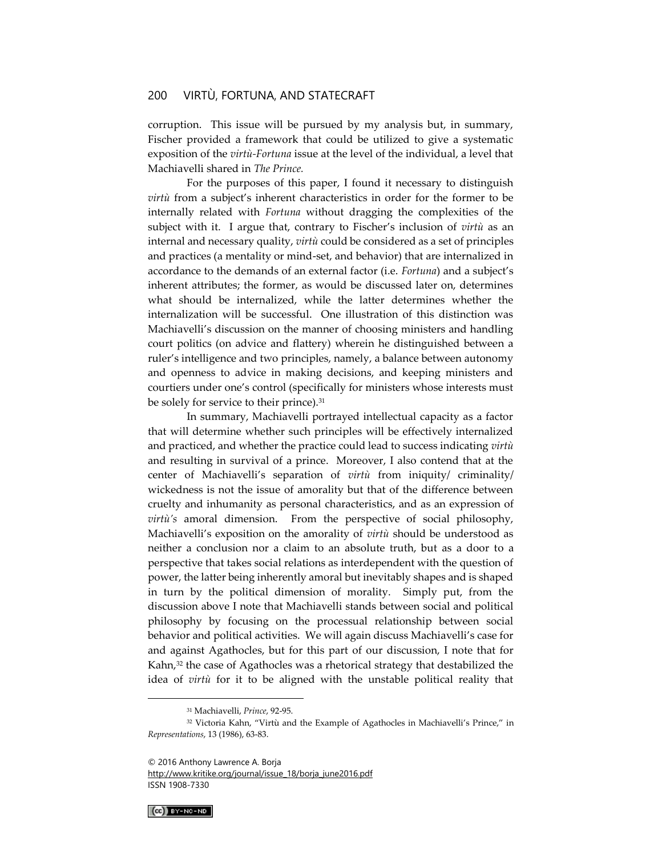corruption. This issue will be pursued by my analysis but, in summary, Fischer provided a framework that could be utilized to give a systematic exposition of the *virtù-Fortuna* issue at the level of the individual, a level that Machiavelli shared in *The Prince.*

For the purposes of this paper, I found it necessary to distinguish *virtù* from a subject's inherent characteristics in order for the former to be internally related with *Fortuna* without dragging the complexities of the subject with it. I argue that, contrary to Fischer's inclusion of *virtù* as an internal and necessary quality, *virtù* could be considered as a set of principles and practices (a mentality or mind-set, and behavior) that are internalized in accordance to the demands of an external factor (i.e. *Fortuna*) and a subject's inherent attributes; the former, as would be discussed later on, determines what should be internalized, while the latter determines whether the internalization will be successful. One illustration of this distinction was Machiavelli's discussion on the manner of choosing ministers and handling court politics (on advice and flattery) wherein he distinguished between a ruler's intelligence and two principles, namely, a balance between autonomy and openness to advice in making decisions, and keeping ministers and courtiers under one's control (specifically for ministers whose interests must be solely for service to their prince).<sup>31</sup>

In summary, Machiavelli portrayed intellectual capacity as a factor that will determine whether such principles will be effectively internalized and practiced, and whether the practice could lead to success indicating *virtù* and resulting in survival of a prince. Moreover, I also contend that at the center of Machiavelli's separation of *virtù* from iniquity/ criminality/ wickedness is not the issue of amorality but that of the difference between cruelty and inhumanity as personal characteristics, and as an expression of *virtù's* amoral dimension. From the perspective of social philosophy, Machiavelli's exposition on the amorality of *virtù* should be understood as neither a conclusion nor a claim to an absolute truth, but as a door to a perspective that takes social relations as interdependent with the question of power, the latter being inherently amoral but inevitably shapes and is shaped in turn by the political dimension of morality. Simply put, from the discussion above I note that Machiavelli stands between social and political philosophy by focusing on the processual relationship between social behavior and political activities. We will again discuss Machiavelli's case for and against Agathocles, but for this part of our discussion, I note that for Kahn,<sup>32</sup> the case of Agathocles was a rhetorical strategy that destabilized the idea of *virtù* for it to be aligned with the unstable political reality that

[http://www.kritike.org/journal/issue\\_18/borja\\_june2016.pdf](http://www.kritike.org/journal/issue_18/borja_june2016.pdf) ISSN 1908-7330

 $(C<sub>c</sub>)$  BY-NC-ND

<sup>31</sup> Machiavelli, *Prince*, 92-95.

<sup>&</sup>lt;sup>32</sup> Victoria Kahn, "Virtù and the Example of Agathocles in Machiavelli's Prince," in *Representations*, 13 (1986), 63-83.

<sup>© 2016</sup> Anthony Lawrence A. Borja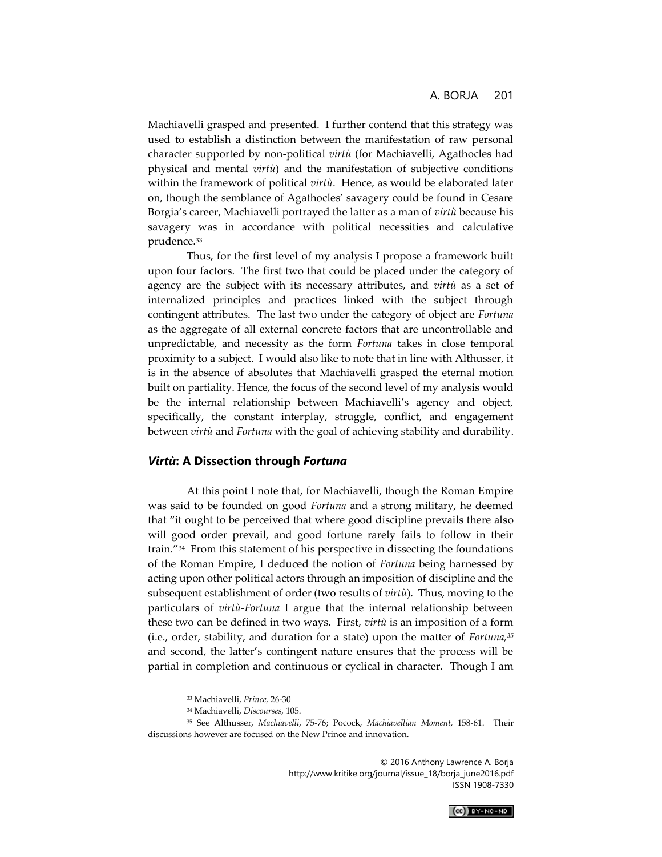Machiavelli grasped and presented. I further contend that this strategy was used to establish a distinction between the manifestation of raw personal character supported by non-political *virtù* (for Machiavelli, Agathocles had physical and mental *virtù*) and the manifestation of subjective conditions within the framework of political *virtù*. Hence, as would be elaborated later on, though the semblance of Agathocles' savagery could be found in Cesare Borgia's career, Machiavelli portrayed the latter as a man of *virtù* because his savagery was in accordance with political necessities and calculative prudence.<sup>33</sup>

Thus, for the first level of my analysis I propose a framework built upon four factors. The first two that could be placed under the category of agency are the subject with its necessary attributes, and *virtù* as a set of internalized principles and practices linked with the subject through contingent attributes. The last two under the category of object are *Fortuna*  as the aggregate of all external concrete factors that are uncontrollable and unpredictable, and necessity as the form *Fortuna* takes in close temporal proximity to a subject. I would also like to note that in line with Althusser, it is in the absence of absolutes that Machiavelli grasped the eternal motion built on partiality. Hence, the focus of the second level of my analysis would be the internal relationship between Machiavelli's agency and object, specifically, the constant interplay, struggle, conflict, and engagement between *virtù* and *Fortuna* with the goal of achieving stability and durability.

#### *Virtù***: A Dissection through** *Fortuna*

At this point I note that, for Machiavelli, though the Roman Empire was said to be founded on good *Fortuna* and a strong military, he deemed that "it ought to be perceived that where good discipline prevails there also will good order prevail, and good fortune rarely fails to follow in their train."<sup>34</sup> From this statement of his perspective in dissecting the foundations of the Roman Empire, I deduced the notion of *Fortuna* being harnessed by acting upon other political actors through an imposition of discipline and the subsequent establishment of order (two results of *virtù*). Thus, moving to the particulars of *virtù-Fortuna* I argue that the internal relationship between these two can be defined in two ways. First, *virtù* is an imposition of a form (i.e., order, stability, and duration for a state) upon the matter of *Fortuna,<sup>35</sup>* and second, the latter's contingent nature ensures that the process will be partial in completion and continuous or cyclical in character. Though I am



<sup>33</sup> Machiavelli, *Prince,* 26-30

<sup>34</sup> Machiavelli, *Discourses,* 105.

<sup>35</sup> See Althusser, *Machiavelli*, 75-76; Pocock, *Machiavellian Moment,* 158-61. Their discussions however are focused on the New Prince and innovation.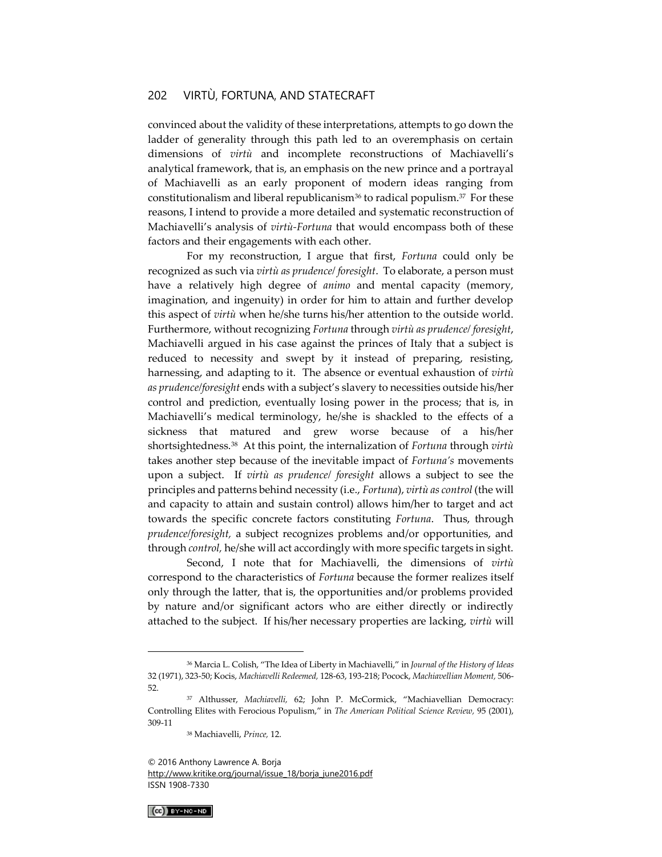convinced about the validity of these interpretations, attempts to go down the ladder of generality through this path led to an overemphasis on certain dimensions of *virtù* and incomplete reconstructions of Machiavelli's analytical framework, that is, an emphasis on the new prince and a portrayal of Machiavelli as an early proponent of modern ideas ranging from constitutionalism and liberal republicanism<sup>36</sup> to radical populism.<sup>37</sup> For these reasons, I intend to provide a more detailed and systematic reconstruction of Machiavelli's analysis of *virtù-Fortuna* that would encompass both of these factors and their engagements with each other.

For my reconstruction, I argue that first, *Fortuna* could only be recognized as such via *virtù as prudence/ foresight*. To elaborate, a person must have a relatively high degree of *animo* and mental capacity (memory, imagination, and ingenuity) in order for him to attain and further develop this aspect of *virtù* when he/she turns his/her attention to the outside world. Furthermore, without recognizing *Fortuna* through *virtù as prudence/ foresight*, Machiavelli argued in his case against the princes of Italy that a subject is reduced to necessity and swept by it instead of preparing, resisting, harnessing, and adapting to it. The absence or eventual exhaustion of *virtù as prudence/foresight* ends with a subject's slavery to necessities outside his/her control and prediction, eventually losing power in the process; that is, in Machiavelli's medical terminology, he/she is shackled to the effects of a sickness that matured and grew worse because of a his/her shortsightedness.<sup>38</sup> At this point, the internalization of *Fortuna* through *virtù* takes another step because of the inevitable impact of *Fortuna's* movements upon a subject. If *virtù as prudence/ foresight* allows a subject to see the principles and patterns behind necessity (i.e., *Fortuna*), *virtù as control* (the will and capacity to attain and sustain control) allows him/her to target and act towards the specific concrete factors constituting *Fortuna*. Thus, through *prudence/foresight,* a subject recognizes problems and/or opportunities, and through *control,* he/she will act accordingly with more specific targets in sight.

Second, I note that for Machiavelli, the dimensions of *virtù* correspond to the characteristics of *Fortuna* because the former realizes itself only through the latter, that is, the opportunities and/or problems provided by nature and/or significant actors who are either directly or indirectly attached to the subject. If his/her necessary properties are lacking, *virtù* will

<sup>© 2016</sup> Anthony Lawrence A. Borja [http://www.kritike.org/journal/issue\\_18/borja\\_june2016.pdf](http://www.kritike.org/journal/issue_18/borja_june2016.pdf) ISSN 1908-7330



<sup>36</sup> Marcia L. Colish, "The Idea of Liberty in Machiavelli," in *Journal of the History of Ideas*  32 (1971), 323-50; Kocis, *Machiavelli Redeemed,* 128-63, 193-218; Pocock, *Machiavellian Moment,* 506- 52.

<sup>37</sup> Althusser, *Machiavelli,* 62; John P. McCormick, "Machiavellian Democracy: Controlling Elites with Ferocious Populism," in *The American Political Science Review,* 95 (2001), 309-11

<sup>38</sup> Machiavelli, *Prince,* 12.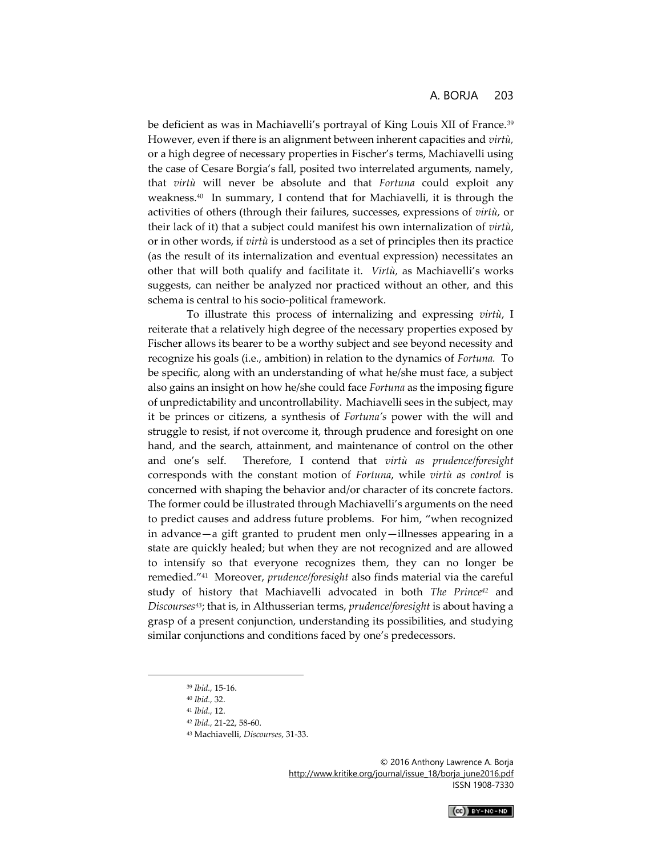be deficient as was in Machiavelli's portrayal of King Louis XII of France.<sup>39</sup> However, even if there is an alignment between inherent capacities and *virtù,*  or a high degree of necessary properties in Fischer's terms, Machiavelli using the case of Cesare Borgia's fall, posited two interrelated arguments, namely, that *virtù* will never be absolute and that *Fortuna* could exploit any weakness.<sup>40</sup> In summary, I contend that for Machiavelli, it is through the activities of others (through their failures, successes, expressions of *virtù,* or their lack of it) that a subject could manifest his own internalization of *virtù*, or in other words, if *virtù* is understood as a set of principles then its practice (as the result of its internalization and eventual expression) necessitates an other that will both qualify and facilitate it. *Virtù,* as Machiavelli's works suggests, can neither be analyzed nor practiced without an other, and this schema is central to his socio-political framework.

To illustrate this process of internalizing and expressing *virtù*, I reiterate that a relatively high degree of the necessary properties exposed by Fischer allows its bearer to be a worthy subject and see beyond necessity and recognize his goals (i.e., ambition) in relation to the dynamics of *Fortuna.* To be specific, along with an understanding of what he/she must face, a subject also gains an insight on how he/she could face *Fortuna* as the imposing figure of unpredictability and uncontrollability. Machiavelli sees in the subject, may it be princes or citizens, a synthesis of *Fortuna's* power with the will and struggle to resist, if not overcome it, through prudence and foresight on one hand, and the search, attainment, and maintenance of control on the other and one's self. Therefore, I contend that *virtù as prudence/foresight*  corresponds with the constant motion of *Fortuna*, while *virtù as control* is concerned with shaping the behavior and/or character of its concrete factors. The former could be illustrated through Machiavelli's arguments on the need to predict causes and address future problems. For him, "when recognized in advance—a gift granted to prudent men only—illnesses appearing in a state are quickly healed; but when they are not recognized and are allowed to intensify so that everyone recognizes them, they can no longer be remedied."<sup>41</sup> Moreover, *prudence/foresight* also finds material via the careful study of history that Machiavelli advocated in both *The Prince<sup>42</sup>* and *Discourses43*; that is, in Althusserian terms, *prudence/foresight* is about having a grasp of a present conjunction, understanding its possibilities, and studying similar conjunctions and conditions faced by one's predecessors.

 $\overline{a}$ 



<sup>39</sup> *Ibid.,* 15-16.

<sup>40</sup> *Ibid.,* 32.

<sup>41</sup> *Ibid.,* 12.

<sup>42</sup> *Ibid.,* 21-22, 58-60.

<sup>43</sup> Machiavelli, *Discourses*, 31-33.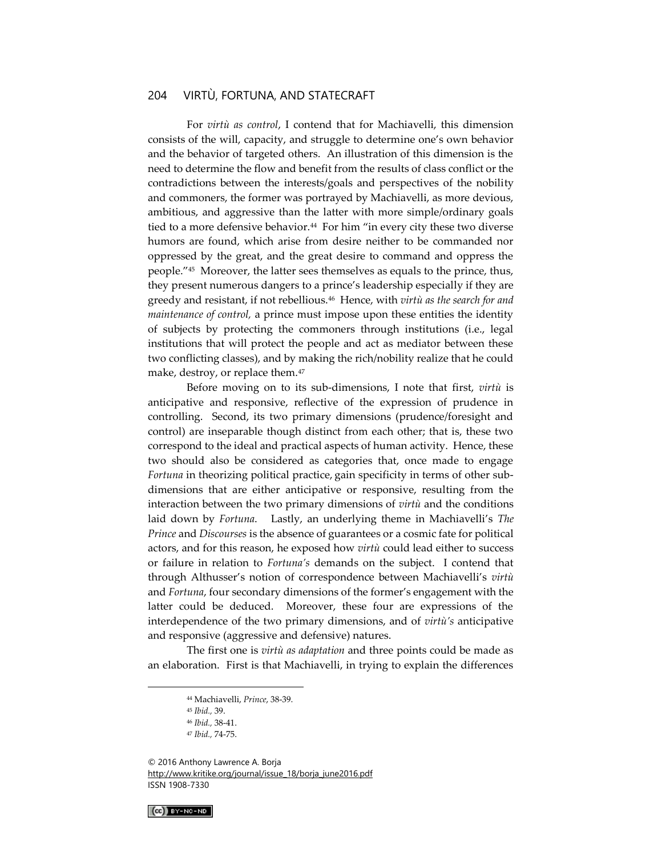For *virtù as control*, I contend that for Machiavelli, this dimension consists of the will, capacity, and struggle to determine one's own behavior and the behavior of targeted others. An illustration of this dimension is the need to determine the flow and benefit from the results of class conflict or the contradictions between the interests/goals and perspectives of the nobility and commoners, the former was portrayed by Machiavelli, as more devious, ambitious, and aggressive than the latter with more simple/ordinary goals tied to a more defensive behavior.<sup>44</sup> For him "in every city these two diverse humors are found, which arise from desire neither to be commanded nor oppressed by the great, and the great desire to command and oppress the people."<sup>45</sup> Moreover, the latter sees themselves as equals to the prince, thus, they present numerous dangers to a prince's leadership especially if they are greedy and resistant, if not rebellious.<sup>46</sup> Hence, with *virtù as the search for and maintenance of control,* a prince must impose upon these entities the identity of subjects by protecting the commoners through institutions (i.e., legal institutions that will protect the people and act as mediator between these two conflicting classes), and by making the rich/nobility realize that he could make, destroy, or replace them.<sup>47</sup>

Before moving on to its sub-dimensions, I note that first, *virtù* is anticipative and responsive, reflective of the expression of prudence in controlling. Second, its two primary dimensions (prudence/foresight and control) are inseparable though distinct from each other; that is, these two correspond to the ideal and practical aspects of human activity. Hence, these two should also be considered as categories that, once made to engage *Fortuna* in theorizing political practice, gain specificity in terms of other subdimensions that are either anticipative or responsive, resulting from the interaction between the two primary dimensions of *virtù* and the conditions laid down by *Fortuna*. Lastly, an underlying theme in Machiavelli's *The Prince* and *Discourses* is the absence of guarantees or a cosmic fate for political actors, and for this reason, he exposed how *virtù* could lead either to success or failure in relation to *Fortuna's* demands on the subject. I contend that through Althusser's notion of correspondence between Machiavelli's *virtù*  and *Fortuna*, four secondary dimensions of the former's engagement with the latter could be deduced. Moreover, these four are expressions of the interdependence of the two primary dimensions, and of *virtù's* anticipative and responsive (aggressive and defensive) natures.

The first one is *virtù as adaptation* and three points could be made as an elaboration. First is that Machiavelli, in trying to explain the differences

© 2016 Anthony Lawrence A. Borja [http://www.kritike.org/journal/issue\\_18/borja\\_june2016.pdf](http://www.kritike.org/journal/issue_18/borja_june2016.pdf) ISSN 1908-7330

 $(G)$  BY-NC-ND

<sup>44</sup> Machiavelli, *Prince*, 38-39.

<sup>45</sup> *Ibid.,* 39.

<sup>46</sup> *Ibid.,* 38-41.

<sup>47</sup> *Ibid.,* 74-75.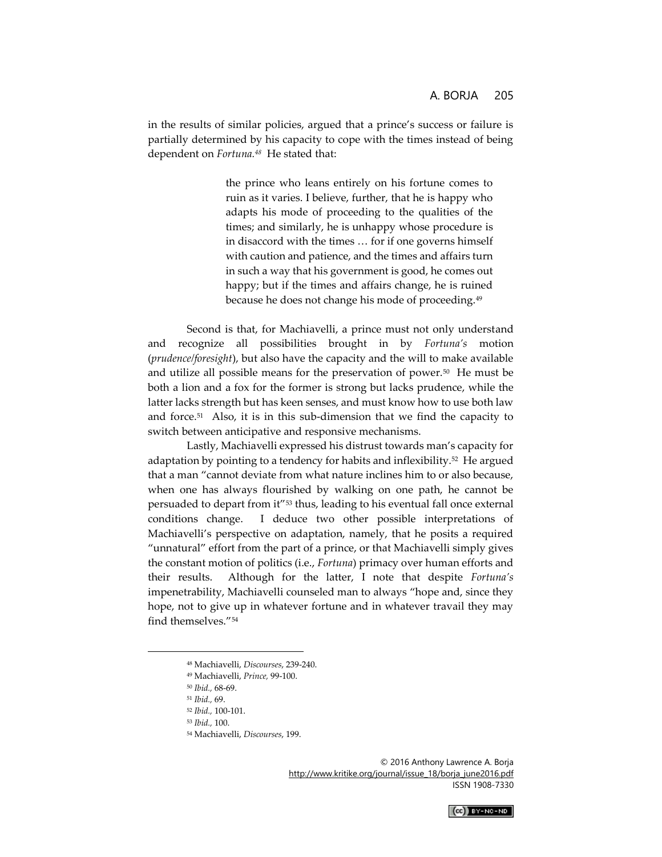in the results of similar policies, argued that a prince's success or failure is partially determined by his capacity to cope with the times instead of being dependent on *Fortuna.<sup>48</sup>* He stated that:

> the prince who leans entirely on his fortune comes to ruin as it varies. I believe, further, that he is happy who adapts his mode of proceeding to the qualities of the times; and similarly, he is unhappy whose procedure is in disaccord with the times … for if one governs himself with caution and patience, and the times and affairs turn in such a way that his government is good, he comes out happy; but if the times and affairs change, he is ruined because he does not change his mode of proceeding.<sup>49</sup>

Second is that, for Machiavelli, a prince must not only understand and recognize all possibilities brought in by *Fortuna's* motion (*prudence/foresight*), but also have the capacity and the will to make available and utilize all possible means for the preservation of power.<sup>50</sup> He must be both a lion and a fox for the former is strong but lacks prudence, while the latter lacks strength but has keen senses, and must know how to use both law and force.<sup>51</sup> Also, it is in this sub-dimension that we find the capacity to switch between anticipative and responsive mechanisms.

Lastly, Machiavelli expressed his distrust towards man's capacity for adaptation by pointing to a tendency for habits and inflexibility.<sup>52</sup> He argued that a man "cannot deviate from what nature inclines him to or also because, when one has always flourished by walking on one path, he cannot be persuaded to depart from it"<sup>53</sup> thus, leading to his eventual fall once external conditions change. I deduce two other possible interpretations of Machiavelli's perspective on adaptation, namely, that he posits a required "unnatural" effort from the part of a prince, or that Machiavelli simply gives the constant motion of politics (i.e., *Fortuna*) primacy over human efforts and their results. Although for the latter, I note that despite *Fortuna's*  impenetrability, Machiavelli counseled man to always "hope and, since they hope, not to give up in whatever fortune and in whatever travail they may find themselves."<sup>54</sup>

 $\overline{a}$ 



<sup>48</sup> Machiavelli, *Discourses*, 239-240.

<sup>49</sup> Machiavelli, *Prince,* 99-100.

<sup>50</sup> *Ibid.,* 68-69.

<sup>51</sup> *Ibid.,* 69.

<sup>52</sup> *Ibid.,* 100-101.

<sup>53</sup> *Ibid.,* 100.

<sup>54</sup> Machiavelli, *Discourses*, 199.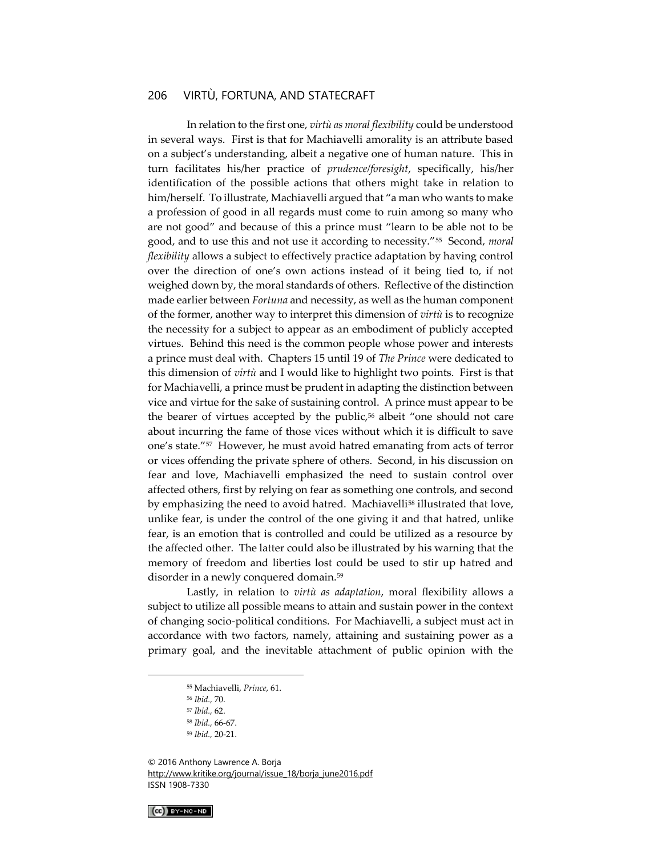In relation to the first one, *virtù as moral flexibility* could be understood in several ways. First is that for Machiavelli amorality is an attribute based on a subject's understanding, albeit a negative one of human nature. This in turn facilitates his/her practice of *prudence/foresight*, specifically, his/her identification of the possible actions that others might take in relation to him/herself. To illustrate, Machiavelli argued that "a man who wants to make a profession of good in all regards must come to ruin among so many who are not good" and because of this a prince must "learn to be able not to be good, and to use this and not use it according to necessity."<sup>55</sup> Second, *moral flexibility* allows a subject to effectively practice adaptation by having control over the direction of one's own actions instead of it being tied to, if not weighed down by, the moral standards of others. Reflective of the distinction made earlier between *Fortuna* and necessity, as well as the human component of the former, another way to interpret this dimension of *virtù* is to recognize the necessity for a subject to appear as an embodiment of publicly accepted virtues. Behind this need is the common people whose power and interests a prince must deal with. Chapters 15 until 19 of *The Prince* were dedicated to this dimension of *virtù* and I would like to highlight two points. First is that for Machiavelli, a prince must be prudent in adapting the distinction between vice and virtue for the sake of sustaining control. A prince must appear to be the bearer of virtues accepted by the public,<sup>56</sup> albeit "one should not care about incurring the fame of those vices without which it is difficult to save one's state."<sup>57</sup> However, he must avoid hatred emanating from acts of terror or vices offending the private sphere of others. Second, in his discussion on fear and love, Machiavelli emphasized the need to sustain control over affected others, first by relying on fear as something one controls, and second by emphasizing the need to avoid hatred. Machiavelli<sup>58</sup> illustrated that love, unlike fear, is under the control of the one giving it and that hatred, unlike fear, is an emotion that is controlled and could be utilized as a resource by the affected other. The latter could also be illustrated by his warning that the memory of freedom and liberties lost could be used to stir up hatred and disorder in a newly conquered domain.<sup>59</sup>

Lastly, in relation to *virtù as adaptation*, moral flexibility allows a subject to utilize all possible means to attain and sustain power in the context of changing socio-political conditions. For Machiavelli, a subject must act in accordance with two factors, namely, attaining and sustaining power as a primary goal, and the inevitable attachment of public opinion with the

© 2016 Anthony Lawrence A. Borja [http://www.kritike.org/journal/issue\\_18/borja\\_june2016.pdf](http://www.kritike.org/journal/issue_18/borja_june2016.pdf) ISSN 1908-7330



<sup>55</sup> Machiavelli, *Prince*, 61.

<sup>56</sup> *Ibid.,* 70.

<sup>57</sup> *Ibid.,* 62.

<sup>58</sup> *Ibid.,* 66-67.

<sup>59</sup> *Ibid.,* 20-21.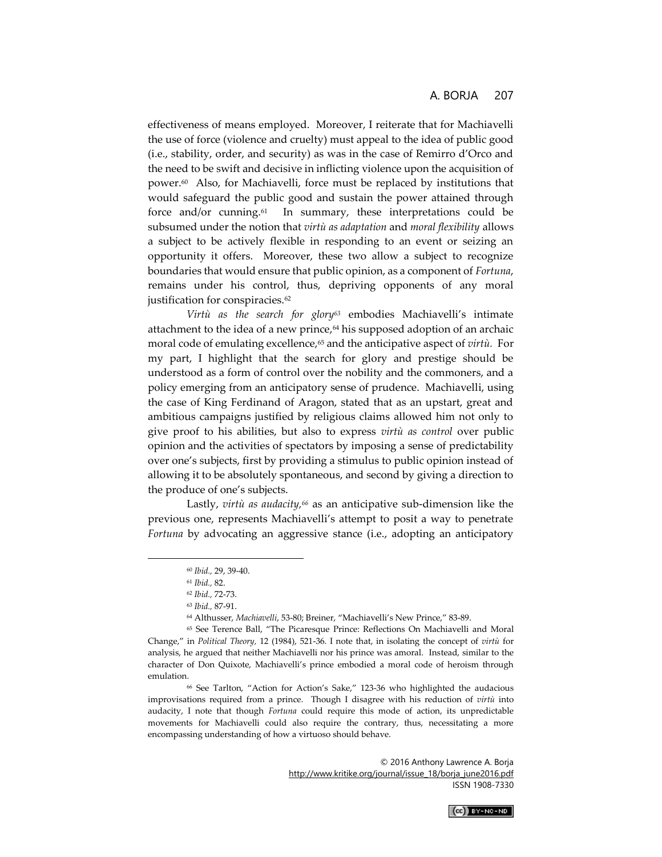effectiveness of means employed. Moreover, I reiterate that for Machiavelli the use of force (violence and cruelty) must appeal to the idea of public good (i.e., stability, order, and security) as was in the case of Remirro d'Orco and the need to be swift and decisive in inflicting violence upon the acquisition of power.<sup>60</sup> Also, for Machiavelli, force must be replaced by institutions that would safeguard the public good and sustain the power attained through force and/or cunning.<sup>61</sup> In summary, these interpretations could be subsumed under the notion that *virtù as adaptation* and *moral flexibility* allows a subject to be actively flexible in responding to an event or seizing an opportunity it offers. Moreover, these two allow a subject to recognize boundaries that would ensure that public opinion, as a component of *Fortuna*, remains under his control, thus, depriving opponents of any moral justification for conspiracies.<sup>62</sup>

*Virtù as the search for glory<sup>63</sup>* embodies Machiavelli's intimate attachment to the idea of a new prince, $64$  his supposed adoption of an archaic moral code of emulating excellence,<sup>65</sup> and the anticipative aspect of *virtù*. For my part, I highlight that the search for glory and prestige should be understood as a form of control over the nobility and the commoners, and a policy emerging from an anticipatory sense of prudence. Machiavelli, using the case of King Ferdinand of Aragon, stated that as an upstart, great and ambitious campaigns justified by religious claims allowed him not only to give proof to his abilities, but also to express *virtù as control* over public opinion and the activities of spectators by imposing a sense of predictability over one's subjects, first by providing a stimulus to public opinion instead of allowing it to be absolutely spontaneous, and second by giving a direction to the produce of one's subjects.

Lastly, *virtù as audacity,<sup>66</sup>* as an anticipative sub-dimension like the previous one, represents Machiavelli's attempt to posit a way to penetrate *Fortuna* by advocating an aggressive stance (i.e., adopting an anticipatory

 $\overline{a}$ 



<sup>60</sup> *Ibid.,* 29, 39-40.

<sup>61</sup> *Ibid.,* 82.

<sup>62</sup> *Ibid.,* 72-73.

<sup>63</sup> *Ibid.,* 87-91.

<sup>64</sup> Althusser, *Machiavelli*, 53-80; Breiner, "Machiavelli's New Prince," 83-89.

<sup>65</sup> See Terence Ball, "The Picaresque Prince: Reflections On Machiavelli and Moral Change," in *Political Theory,* 12 (1984), 521-36. I note that, in isolating the concept of *virtù* for analysis, he argued that neither Machiavelli nor his prince was amoral. Instead, similar to the character of Don Quixote, Machiavelli's prince embodied a moral code of heroism through emulation.

<sup>66</sup> See Tarlton, "Action for Action's Sake," 123-36 who highlighted the audacious improvisations required from a prince. Though I disagree with his reduction of *virtù* into audacity, I note that though *Fortuna* could require this mode of action, its unpredictable movements for Machiavelli could also require the contrary, thus, necessitating a more encompassing understanding of how a virtuoso should behave.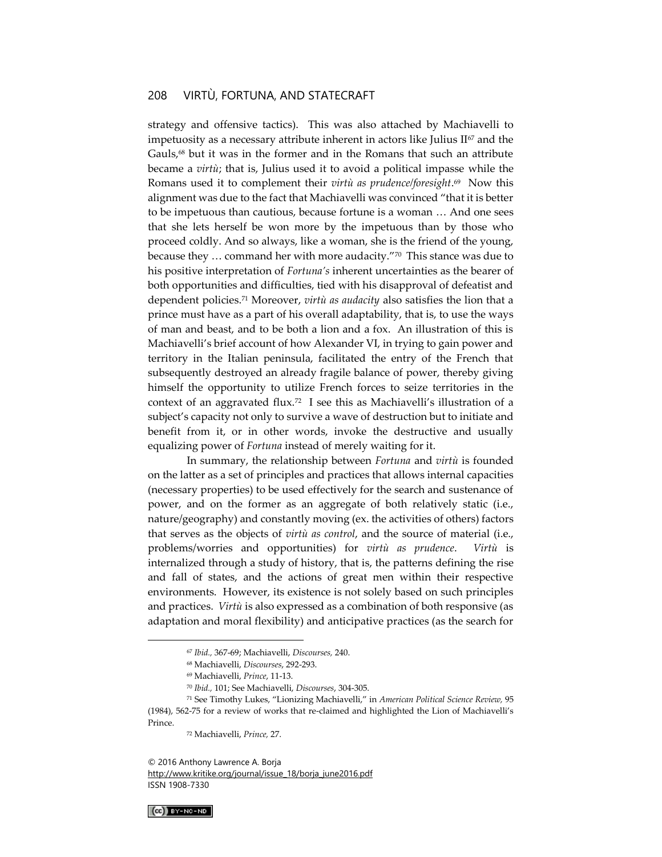strategy and offensive tactics). This was also attached by Machiavelli to impetuosity as a necessary attribute inherent in actors like Julius  $II<sup>67</sup>$  and the Gauls,<sup>68</sup> but it was in the former and in the Romans that such an attribute became a *virtù*; that is, Julius used it to avoid a political impasse while the Romans used it to complement their *virtù as prudence/foresight*. 69 Now this alignment was due to the fact that Machiavelli was convinced "that it is better to be impetuous than cautious, because fortune is a woman … And one sees that she lets herself be won more by the impetuous than by those who proceed coldly. And so always, like a woman, she is the friend of the young, because they … command her with more audacity."<sup>70</sup> This stance was due to his positive interpretation of *Fortuna's* inherent uncertainties as the bearer of both opportunities and difficulties, tied with his disapproval of defeatist and dependent policies.<sup>71</sup> Moreover, *virtù as audacity* also satisfies the lion that a prince must have as a part of his overall adaptability, that is, to use the ways of man and beast, and to be both a lion and a fox. An illustration of this is Machiavelli's brief account of how Alexander VI, in trying to gain power and territory in the Italian peninsula, facilitated the entry of the French that subsequently destroyed an already fragile balance of power, thereby giving himself the opportunity to utilize French forces to seize territories in the context of an aggravated flux.<sup>72</sup> I see this as Machiavelli's illustration of a subject's capacity not only to survive a wave of destruction but to initiate and benefit from it, or in other words, invoke the destructive and usually equalizing power of *Fortuna* instead of merely waiting for it.

In summary, the relationship between *Fortuna* and *virtù* is founded on the latter as a set of principles and practices that allows internal capacities (necessary properties) to be used effectively for the search and sustenance of power, and on the former as an aggregate of both relatively static (i.e., nature/geography) and constantly moving (ex. the activities of others) factors that serves as the objects of *virtù as control*, and the source of material (i.e., problems/worries and opportunities) for *virtù as prudence*. *Virtù* is internalized through a study of history, that is, the patterns defining the rise and fall of states, and the actions of great men within their respective environments. However, its existence is not solely based on such principles and practices. *Virtù* is also expressed as a combination of both responsive (as adaptation and moral flexibility) and anticipative practices (as the search for

© 2016 Anthony Lawrence A. Borja [http://www.kritike.org/journal/issue\\_18/borja\\_june2016.pdf](http://www.kritike.org/journal/issue_18/borja_june2016.pdf) ISSN 1908-7330

 $(G)$  BY-NC-ND

<sup>67</sup> *Ibid.,* 367-69; Machiavelli, *Discourses,* 240.

<sup>68</sup> Machiavelli, *Discourses*, 292-293.

<sup>69</sup> Machiavelli, *Prince*, 11-13.

<sup>70</sup> *Ibid.,* 101; See Machiavelli, *Discourses*, 304-305.

<sup>71</sup> See Timothy Lukes, "Lionizing Machiavelli," in *American Political Science Review,* 95 (1984), 562-75 for a review of works that re-claimed and highlighted the Lion of Machiavelli's Prince.

<sup>72</sup> Machiavelli, *Prince,* 27.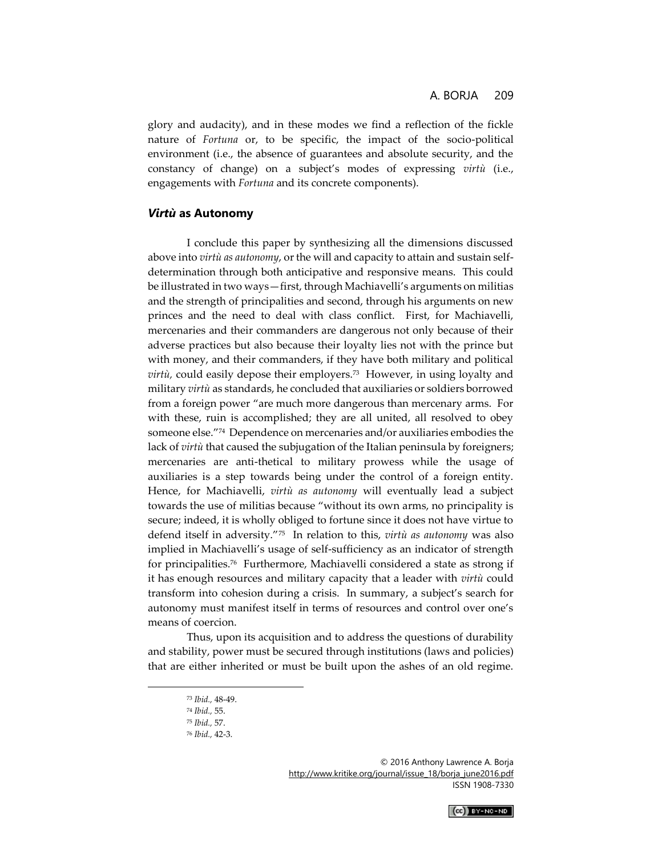glory and audacity), and in these modes we find a reflection of the fickle nature of *Fortuna* or, to be specific, the impact of the socio-political environment (i.e., the absence of guarantees and absolute security, and the constancy of change) on a subject's modes of expressing *virtù* (i.e., engagements with *Fortuna* and its concrete components).

#### *Virtù* **as Autonomy**

I conclude this paper by synthesizing all the dimensions discussed above into *virtù as autonomy*, or the will and capacity to attain and sustain selfdetermination through both anticipative and responsive means. This could be illustrated in two ways—first, through Machiavelli's arguments on militias and the strength of principalities and second, through his arguments on new princes and the need to deal with class conflict. First, for Machiavelli, mercenaries and their commanders are dangerous not only because of their adverse practices but also because their loyalty lies not with the prince but with money, and their commanders, if they have both military and political *virtù,* could easily depose their employers.<sup>73</sup> However, in using loyalty and military *virtù* as standards, he concluded that auxiliaries or soldiers borrowed from a foreign power "are much more dangerous than mercenary arms. For with these, ruin is accomplished; they are all united, all resolved to obey someone else."<sup>74</sup> Dependence on mercenaries and/or auxiliaries embodies the lack of *virtù* that caused the subjugation of the Italian peninsula by foreigners; mercenaries are anti-thetical to military prowess while the usage of auxiliaries is a step towards being under the control of a foreign entity. Hence, for Machiavelli, *virtù as autonomy* will eventually lead a subject towards the use of militias because "without its own arms, no principality is secure; indeed, it is wholly obliged to fortune since it does not have virtue to defend itself in adversity."<sup>75</sup> In relation to this, *virtù as autonomy* was also implied in Machiavelli's usage of self-sufficiency as an indicator of strength for principalities.<sup>76</sup> Furthermore, Machiavelli considered a state as strong if it has enough resources and military capacity that a leader with *virtù* could transform into cohesion during a crisis. In summary, a subject's search for autonomy must manifest itself in terms of resources and control over one's means of coercion.

Thus, upon its acquisition and to address the questions of durability and stability, power must be secured through institutions (laws and policies) that are either inherited or must be built upon the ashes of an old regime.

<sup>© 2016</sup> Anthony Lawrence A. Borja [http://www.kritike.org/journal/issue\\_18/borja\\_june2016.pdf](http://www.kritike.org/journal/issue_18/borja_june2016.pdf) ISSN 1908-7330



<sup>73</sup> *Ibid.,* 48-49.

<sup>74</sup> *Ibid.,* 55.

<sup>75</sup> *Ibid.,* 57.

<sup>76</sup> *Ibid.,* 42-3.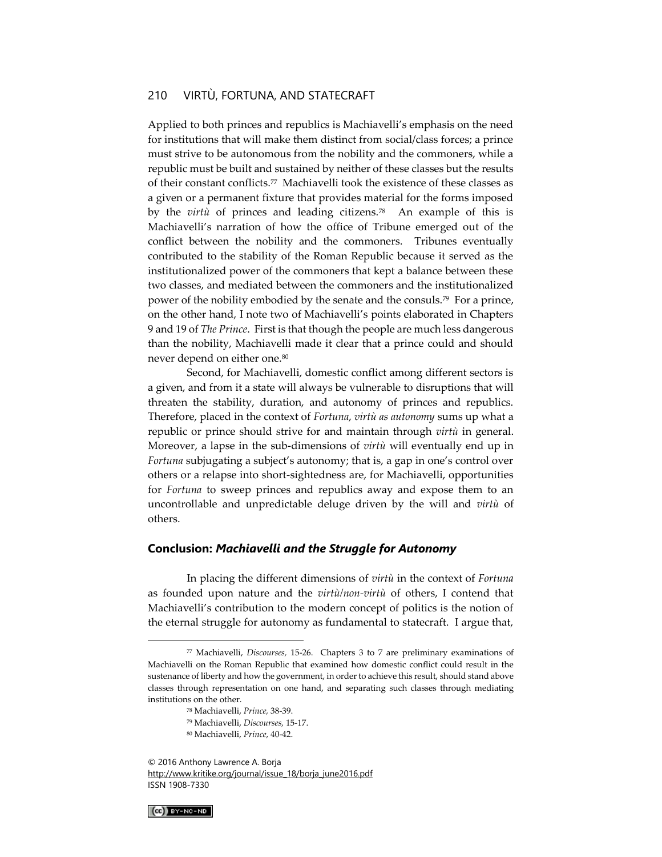Applied to both princes and republics is Machiavelli's emphasis on the need for institutions that will make them distinct from social/class forces; a prince must strive to be autonomous from the nobility and the commoners, while a republic must be built and sustained by neither of these classes but the results of their constant conflicts.<sup>77</sup> Machiavelli took the existence of these classes as a given or a permanent fixture that provides material for the forms imposed by the *virtù* of princes and leading citizens.<sup>78</sup> An example of this is Machiavelli's narration of how the office of Tribune emerged out of the conflict between the nobility and the commoners. Tribunes eventually contributed to the stability of the Roman Republic because it served as the institutionalized power of the commoners that kept a balance between these two classes, and mediated between the commoners and the institutionalized power of the nobility embodied by the senate and the consuls.<sup>79</sup> For a prince, on the other hand, I note two of Machiavelli's points elaborated in Chapters 9 and 19 of *The Prince*. First is that though the people are much less dangerous than the nobility, Machiavelli made it clear that a prince could and should never depend on either one.<sup>80</sup>

Second, for Machiavelli, domestic conflict among different sectors is a given, and from it a state will always be vulnerable to disruptions that will threaten the stability, duration, and autonomy of princes and republics. Therefore, placed in the context of *Fortuna*, *virtù as autonomy* sums up what a republic or prince should strive for and maintain through *virtù* in general. Moreover, a lapse in the sub-dimensions of *virtù* will eventually end up in *Fortuna* subjugating a subject's autonomy; that is, a gap in one's control over others or a relapse into short-sightedness are, for Machiavelli, opportunities for *Fortuna* to sweep princes and republics away and expose them to an uncontrollable and unpredictable deluge driven by the will and *virtù* of others.

#### **Conclusion:** *Machiavelli and the Struggle for Autonomy*

In placing the different dimensions of *virtù* in the context of *Fortuna*  as founded upon nature and the *virtù/non-virtù* of others, I contend that Machiavelli's contribution to the modern concept of politics is the notion of the eternal struggle for autonomy as fundamental to statecraft. I argue that,

<sup>© 2016</sup> Anthony Lawrence A. Borja [http://www.kritike.org/journal/issue\\_18/borja\\_june2016.pdf](http://www.kritike.org/journal/issue_18/borja_june2016.pdf) ISSN 1908-7330



<sup>77</sup> Machiavelli, *Discourses,* 15-26. Chapters 3 to 7 are preliminary examinations of Machiavelli on the Roman Republic that examined how domestic conflict could result in the sustenance of liberty and how the government, in order to achieve this result, should stand above classes through representation on one hand, and separating such classes through mediating institutions on the other.

<sup>78</sup> Machiavelli, *Prince,* 38-39.

<sup>79</sup> Machiavelli, *Discourses,* 15-17.

<sup>80</sup> Machiavelli, *Prince*, 40-42.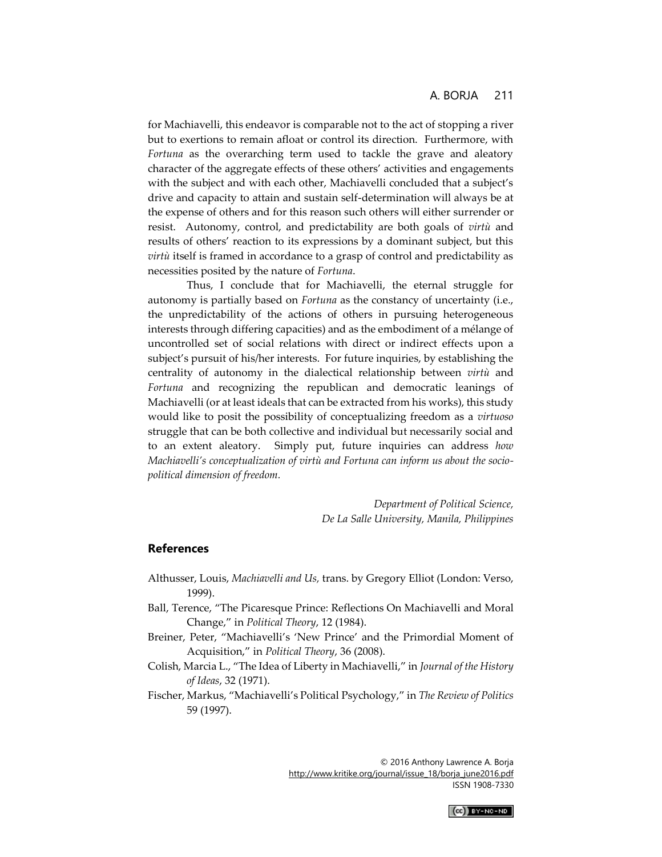for Machiavelli, this endeavor is comparable not to the act of stopping a river but to exertions to remain afloat or control its direction. Furthermore, with *Fortuna* as the overarching term used to tackle the grave and aleatory character of the aggregate effects of these others' activities and engagements with the subject and with each other, Machiavelli concluded that a subject's drive and capacity to attain and sustain self-determination will always be at the expense of others and for this reason such others will either surrender or resist. Autonomy, control, and predictability are both goals of *virtù* and results of others' reaction to its expressions by a dominant subject, but this *virtù* itself is framed in accordance to a grasp of control and predictability as necessities posited by the nature of *Fortuna*.

Thus, I conclude that for Machiavelli, the eternal struggle for autonomy is partially based on *Fortuna* as the constancy of uncertainty (i.e., the unpredictability of the actions of others in pursuing heterogeneous interests through differing capacities) and as the embodiment of a mélange of uncontrolled set of social relations with direct or indirect effects upon a subject's pursuit of his/her interests. For future inquiries, by establishing the centrality of autonomy in the dialectical relationship between *virtù* and *Fortuna* and recognizing the republican and democratic leanings of Machiavelli (or at least ideals that can be extracted from his works), this study would like to posit the possibility of conceptualizing freedom as a *virtuoso*  struggle that can be both collective and individual but necessarily social and to an extent aleatory. Simply put, future inquiries can address *how Machiavelli's conceptualization of virtù and Fortuna can inform us about the sociopolitical dimension of freedom.* 

> *Department of Political Science, De La Salle University, Manila, Philippines*

#### **References**

- Althusser, Louis, *Machiavelli and Us,* trans. by Gregory Elliot (London: Verso, 1999).
- Ball, Terence, "The Picaresque Prince: Reflections On Machiavelli and Moral Change," in *Political Theory*, 12 (1984).
- Breiner, Peter, "Machiavelli's 'New Prince' and the Primordial Moment of Acquisition," in *Political Theory*, 36 (2008).
- Colish, Marcia L., "The Idea of Liberty in Machiavelli," in *Journal of the History of Ideas*, 32 (1971).
- Fischer, Markus, "Machiavelli's Political Psychology," in *The Review of Politics* 59 (1997).

$$
(cc) \text{ by -nc-nd}
$$